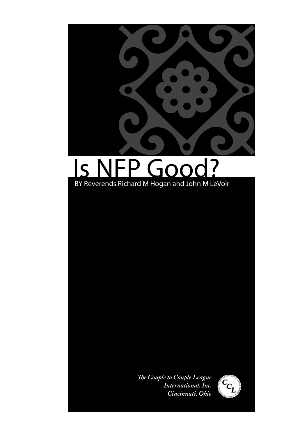

# Is NFP Good? BY Reverends Richard M Hogan and John M LeVoir

*The Couple to Couple League International, Inc. Cincinnati, Ohio*

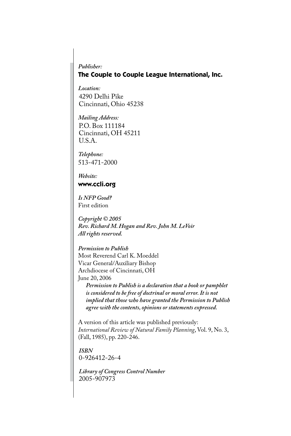#### *Publisher:* **The Couple to Couple League International, Inc.**

*Location:* 4290 Delhi Pike Cincinnati, Ohio 45238

*Mailing Address:* P.O. Box 111184 Cincinnati, OH 45211 U.S.A.

*Telephone:* 513-471-2000

*Website:* **www.ccli.org**

*Is NFP Good?* First edition

*Copyright © 2005 Rev. Richard M. Hogan and Rev. John M. LeVoir All rights reserved.*

*Permission to Publish* Most Reverend Carl K. Moeddel Vicar General/Auxiliary Bishop Archdiocese of Cincinnati, OH

June 20, 2006

*Permission to Publish is a declaration that a book or pamphlet is considered to be free of doctrinal or moral error. It is not implied that those who have granted the Permission to Publish agree with the contents, opinions or statements expressed.*

A version of this article was published previously: *International Review of Natural Family Planning*, Vol. 9, No. 3, (Fall, 1985), pp. 220-246.

*ISBN* 0-926412-26-4

*Library of Congress Control Number* 2005-907973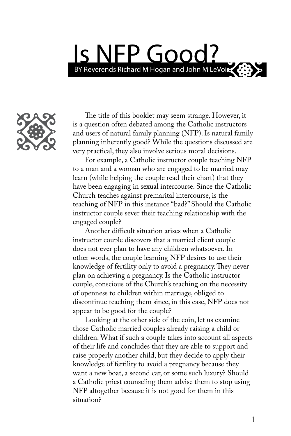# Is NFP Good? BY Reverends Richard M Hogan and John M LeVoir

The title of this booklet may seem strange. However, it is a question often debated among the Catholic instructors and users of natural family planning (NFP). Is natural family planning inherently good? While the questions discussed are very practical, they also involve serious moral decisions.

For example, a Catholic instructor couple teaching NFP to a man and a woman who are engaged to be married may learn (while helping the couple read their chart) that they have been engaging in sexual intercourse. Since the Catholic Church teaches against premarital intercourse, is the teaching of NFP in this instance "bad?" Should the Catholic instructor couple sever their teaching relationship with the engaged couple?

Another difficult situation arises when a Catholic instructor couple discovers that a married client couple does not ever plan to have any children whatsoever. In other words, the couple learning NFP desires to use their knowledge of fertility only to avoid a pregnancy. They never plan on achieving a pregnancy. Is the Catholic instructor couple, conscious of the Church's teaching on the necessity of openness to children within marriage, obliged to discontinue teaching them since, in this case, NFP does not appear to be good for the couple?

Looking at the other side of the coin, let us examine those Catholic married couples already raising a child or children. What if such a couple takes into account all aspects of their life and concludes that they are able to support and raise properly another child, but they decide to apply their knowledge of fertility to avoid a pregnancy because they want a new boat, a second car, or some such luxury? Should a Catholic priest counseling them advise them to stop using NFP altogether because it is not good for them in this situation?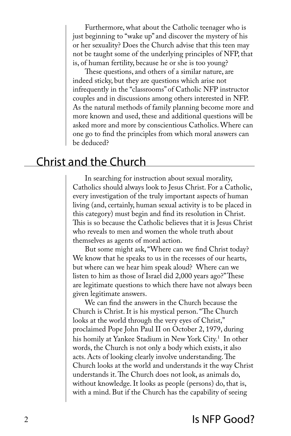Furthermore, what about the Catholic teenager who is just beginning to "wake up" and discover the mystery of his or her sexuality? Does the Church advise that this teen may not be taught some of the underlying principles of NFP, that is, of human fertility, because he or she is too young?

These questions, and others of a similar nature, are indeed sticky, but they are questions which arise not infrequently in the "classrooms" of Catholic NFP instructor couples and in discussions among others interested in NFP. As the natural methods of family planning become more and more known and used, these and additional questions will be asked more and more by conscientious Catholics. Where can one go to find the principles from which moral answers can be deduced?

## Christ and the Church

In searching for instruction about sexual morality, Catholics should always look to Jesus Christ. For a Catholic, every investigation of the truly important aspects of human living (and, certainly, human sexual activity is to be placed in this category) must begin and find its resolution in Christ. This is so because the Catholic believes that it is Jesus Christ who reveals to men and women the whole truth about themselves as agents of moral action.

But some might ask, "Where can we find Christ today? We know that he speaks to us in the recesses of our hearts, but where can we hear him speak aloud? Where can we listen to him as those of Israel did 2,000 years ago?" These are legitimate questions to which there have not always been given legitimate answers.

We can find the answers in the Church because the Church is Christ. It is his mystical person. "The Church looks at the world through the very eyes of Christ," proclaimed Pope John Paul II on October 2, 1979, during his homily at Yankee Stadium in New York City.<sup>1</sup> In other words, the Church is not only a body which exists, it also acts. Acts of looking clearly involve understanding. The Church looks at the world and understands it the way Christ understands it. The Church does not look, as animals do, without knowledge. It looks as people (persons) do, that is, with a mind. But if the Church has the capability of seeing

## 2 Is NFP Good?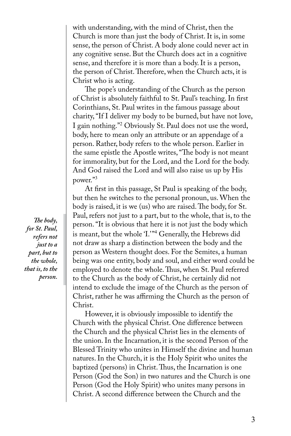with understanding, with the mind of Christ, then the Church is more than just the body of Christ. It is, in some sense, the person of Christ. A body alone could never act in any cognitive sense. But the Church does act in a cognitive sense, and therefore it is more than a body. It is a person, the person of Christ. Therefore, when the Church acts, it is Christ who is acting.

The pope's understanding of the Church as the person of Christ is absolutely faithful to St. Paul's teaching. In first Corinthians, St. Paul writes in the famous passage about charity, "If I deliver my body to be burned, but have not love, I gain nothing."<sup>2</sup> Obviously St. Paul does not use the word, body, here to mean only an attribute or an appendage of a person. Rather, body refers to the whole person. Earlier in the same epistle the Apostle writes, "The body is not meant for immorality, but for the Lord, and the Lord for the body. And God raised the Lord and will also raise us up by His power."<sup>3</sup>

At first in this passage, St Paul is speaking of the body, but then he switches to the personal pronoun, us. When the body is raised, it is we (us) who are raised. The body, for St. Paul, refers not just to a part, but to the whole, that is, to the person. "It is obvious that here it is not just the body which is meant, but the whole 'I.'"<sup>4</sup> Generally, the Hebrews did not draw as sharp a distinction between the body and the person as Western thought does. For the Semites, a human being was one entity, body and soul, and either word could be employed to denote the whole. Thus, when St. Paul referred to the Church as the body of Christ, he certainly did not intend to exclude the image of the Church as the person of Christ, rather he was affirming the Church as the person of Christ.

However, it is obviously impossible to identify the Church with the physical Christ. One difference between the Church and the physical Christ lies in the elements of the union. In the Incarnation, it is the second Person of the Blessed Trinity who unites in Himself the divine and human natures. In the Church, it is the Holy Spirit who unites the baptized (persons) in Christ. Thus, the Incarnation is one Person (God the Son) in two natures and the Church is one Person (God the Holy Spirit) who unites many persons in Christ. A second difference between the Church and the

 *The body, for St. Paul, refers not just to a part, but to the whole, that is, to the person.*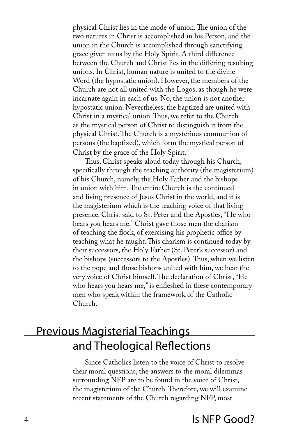physical Christ lies in the mode of union. The union of the two natures in Christ is accomplished in his Person, and the union in the Church is accomplished through sanctifying grace given to us by the Holy Spirit. A third difference between the Church and Christ lies in the differing resulting unions. In Christ, human nature is united to the divine Word (the hypostatic union). However, the members of the Church are not all united with the Logos, as though he were incarnate again in each of us. No, the union is not another hypostatic union. Nevertheless, the baptized are united with Christ in a mystical union. Thus, we refer to the Church as the mystical person of Christ to distinguish it from the physical Christ. The Church is a mysterious communion of persons (the baptized), which form the mystical person of Christ by the grace of the Holy Spirit.<sup>5</sup>

Thus, Christ speaks aloud today through his Church, specifically through the teaching authority (the magisterium) of his Church, namely, the Holy Father and the bishops in union with him. The entire Church is the continued and living presence of Jesus Christ in the world, and it is the magisterium which is the teaching voice of that living presence. Christ said to St. Peter and the Apostles, "He who hears you hears me." Christ gave those men the charism of teaching the flock, of exercising his prophetic office by teaching what he taught. This charism is continued today by their successors, the Holy Father (St. Peter's successor) and the bishops (successors to the Apostles). Thus, when we listen to the pope and those bishops united with him, we hear the very voice of Christ himself. The declaration of Christ, "He who hears you hears me," is enfleshed in these contemporary men who speak within the framework of the Catholic Church.

# Previous Magisterial Teachings and Theological Reflections

Since Catholics listen to the voice of Christ to resolve their moral questions, the answers to the moral dilemmas surrounding NFP are to be found in the voice of Christ, the magisterium of the Church. Therefore, we will examine recent statements of the Church regarding NFP, most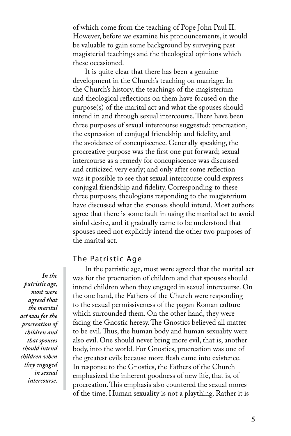of which come from the teaching of Pope John Paul II. However, before we examine his pronouncements, it would be valuable to gain some background by surveying past magisterial teachings and the theological opinions which these occasioned.

It is quite clear that there has been a genuine development in the Church's teaching on marriage. In the Church's history, the teachings of the magisterium and theological reflections on them have focused on the purpose(s) of the marital act and what the spouses should intend in and through sexual intercourse. There have been three purposes of sexual intercourse suggested: procreation, the expression of conjugal friendship and fidelity, and the avoidance of concupiscence. Generally speaking, the procreative purpose was the first one put forward; sexual intercourse as a remedy for concupiscence was discussed and criticized very early; and only after some reflection was it possible to see that sexual intercourse could express conjugal friendship and fidelity. Corresponding to these three purposes, theologians responding to the magisterium have discussed what the spouses should intend. Most authors agree that there is some fault in using the marital act to avoid sinful desire, and it gradually came to be understood that spouses need not explicitly intend the other two purposes of the marital act.

#### The Patristic Age

In the patristic age, most were agreed that the marital act was for the procreation of children and that spouses should intend children when they engaged in sexual intercourse. On the one hand, the Fathers of the Church were responding to the sexual permissiveness of the pagan Roman culture which surrounded them. On the other hand, they were facing the Gnostic heresy. The Gnostics believed all matter to be evil. Thus, the human body and human sexuality were also evil. One should never bring more evil, that is, another body, into the world. For Gnostics, procreation was one of the greatest evils because more flesh came into existence. In response to the Gnostics, the Fathers of the Church emphasized the inherent goodness of new life, that is, of procreation. This emphasis also countered the sexual mores of the time. Human sexuality is not a plaything. Rather it is

 *In the patristic age, most were agreed that the marital act was for the procreation of children and that spouses should intend children when they engaged in sexual intercourse.*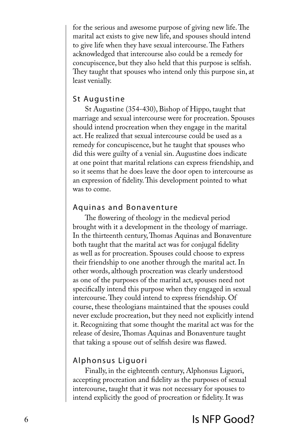for the serious and awesome purpose of giving new life. The marital act exists to give new life, and spouses should intend to give life when they have sexual intercourse. The Fathers acknowledged that intercourse also could be a remedy for concupiscence, but they also held that this purpose is selfish. They taught that spouses who intend only this purpose sin, at least venially.

#### St Augustine

St Augustine (354-430), Bishop of Hippo, taught that marriage and sexual intercourse were for procreation. Spouses should intend procreation when they engage in the marital act. He realized that sexual intercourse could be used as a remedy for concupiscence, but he taught that spouses who did this were guilty of a venial sin. Augustine does indicate at one point that marital relations can express friendship, and so it seems that he does leave the door open to intercourse as an expression of fidelity. This development pointed to what was to come.

#### Aquinas and Bonaventure

The flowering of theology in the medieval period brought with it a development in the theology of marriage. In the thirteenth century, Thomas Aquinas and Bonaventure both taught that the marital act was for conjugal fidelity as well as for procreation. Spouses could choose to express their friendship to one another through the marital act. In other words, although procreation was clearly understood as one of the purposes of the marital act, spouses need not specifically intend this purpose when they engaged in sexual intercourse. They could intend to express friendship. Of course, these theologians maintained that the spouses could never exclude procreation, but they need not explicitly intend it. Recognizing that some thought the marital act was for the release of desire, Thomas Aquinas and Bonaventure taught that taking a spouse out of selfish desire was flawed.

### Alphonsus Liguori

Finally, in the eighteenth century, Alphonsus Liguori, accepting procreation and fidelity as the purposes of sexual intercourse, taught that it was not necessary for spouses to intend explicitly the good of procreation or fidelity. It was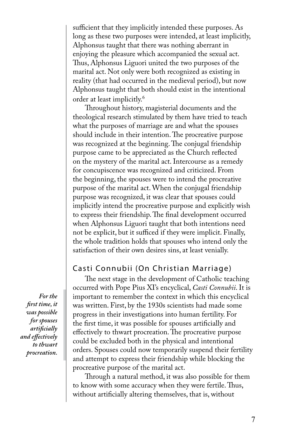sufficient that they implicitly intended these purposes. As long as these two purposes were intended, at least implicitly, Alphonsus taught that there was nothing aberrant in enjoying the pleasure which accompanied the sexual act. Thus, Alphonsus Liguori united the two purposes of the marital act. Not only were both recognized as existing in reality (that had occurred in the medieval period), but now Alphonsus taught that both should exist in the intentional order at least implicitly.<sup>6</sup>

Throughout history, magisterial documents and the theological research stimulated by them have tried to teach what the purposes of marriage are and what the spouses should include in their intention. The procreative purpose was recognized at the beginning. The conjugal friendship purpose came to be appreciated as the Church reflected on the mystery of the marital act. Intercourse as a remedy for concupiscence was recognized and criticized. From the beginning, the spouses were to intend the procreative purpose of the marital act. When the conjugal friendship purpose was recognized, it was clear that spouses could implicitly intend the procreative purpose and explicitly wish to express their friendship. The final development occurred when Alphonsus Liguori taught that both intentions need not be explicit, but it sufficed if they were implicit. Finally, the whole tradition holds that spouses who intend only the satisfaction of their own desires sins, at least venially.

#### Casti Connubii (On Christian Marriage)

The next stage in the development of Catholic teaching occurred with Pope Pius XI's encyclical, *Casti Connubii*. It is important to remember the context in which this encyclical was written. First, by the 1930s scientists had made some progress in their investigations into human fertility. For the first time, it was possible for spouses artificially and effectively to thwart procreation. The procreative purpose could be excluded both in the physical and intentional orders. Spouses could now temporarily suspend their fertility and attempt to express their friendship while blocking the procreative purpose of the marital act.

Through a natural method, it was also possible for them to know with some accuracy when they were fertile. Thus, without artificially altering themselves, that is, without

 *For the first time, it was possible for spouses artificially and effectively to thwart procreation.*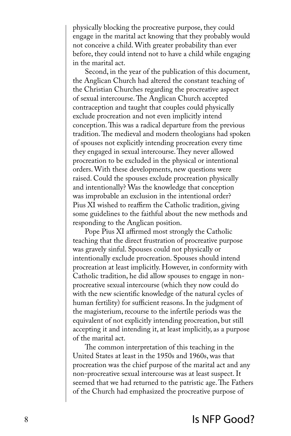physically blocking the procreative purpose, they could engage in the marital act knowing that they probably would not conceive a child. With greater probability than ever before, they could intend not to have a child while engaging in the marital act.

Second, in the year of the publication of this document, the Anglican Church had altered the constant teaching of the Christian Churches regarding the procreative aspect of sexual intercourse. The Anglican Church accepted contraception and taught that couples could physically exclude procreation and not even implicitly intend conception. This was a radical departure from the previous tradition. The medieval and modern theologians had spoken of spouses not explicitly intending procreation every time they engaged in sexual intercourse. They never allowed procreation to be excluded in the physical or intentional orders. With these developments, new questions were raised. Could the spouses exclude procreation physically and intentionally? Was the knowledge that conception was improbable an exclusion in the intentional order? Pius XI wished to reaffirm the Catholic tradition, giving some guidelines to the faithful about the new methods and responding to the Anglican position.

Pope Pius XI affirmed most strongly the Catholic teaching that the direct frustration of procreative purpose was gravely sinful. Spouses could not physically or intentionally exclude procreation. Spouses should intend procreation at least implicitly. However, in conformity with Catholic tradition, he did allow spouses to engage in nonprocreative sexual intercourse (which they now could do with the new scientific knowledge of the natural cycles of human fertility) for sufficient reasons. In the judgment of the magisterium, recourse to the infertile periods was the equivalent of not explicitly intending procreation, but still accepting it and intending it, at least implicitly, as a purpose of the marital act.

The common interpretation of this teaching in the United States at least in the 1950s and 1960s, was that procreation was the chief purpose of the marital act and any non-procreative sexual intercourse was at least suspect. It seemed that we had returned to the patristic age. The Fathers of the Church had emphasized the procreative purpose of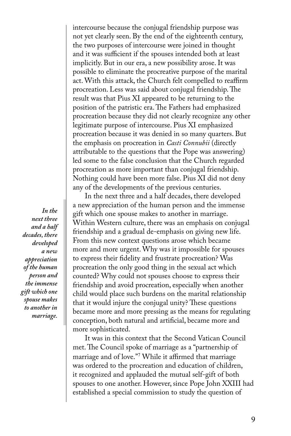intercourse because the conjugal friendship purpose was not yet clearly seen. By the end of the eighteenth century, the two purposes of intercourse were joined in thought and it was sufficient if the spouses intended both at least implicitly. But in our era, a new possibility arose. It was possible to eliminate the procreative purpose of the marital act. With this attack, the Church felt compelled to reaffirm procreation. Less was said about conjugal friendship. The result was that Pius XI appeared to be returning to the position of the patristic era. The Fathers had emphasized procreation because they did not clearly recognize any other legitimate purpose of intercourse. Pius XI emphasized procreation because it was denied in so many quarters. But the emphasis on procreation in *Casti Connubii* (directly attributable to the questions that the Pope was answering) led some to the false conclusion that the Church regarded procreation as more important than conjugal friendship. Nothing could have been more false. Pius XI did not deny any of the developments of the previous centuries.

In the next three and a half decades, there developed a new appreciation of the human person and the immense gift which one spouse makes to another in marriage. Within Western culture, there was an emphasis on conjugal friendship and a gradual de-emphasis on giving new life. From this new context questions arose which became more and more urgent. Why was it impossible for spouses to express their fidelity and frustrate procreation? Was procreation the only good thing in the sexual act which counted? Why could not spouses choose to express their friendship and avoid procreation, especially when another child would place such burdens on the marital relationship that it would injure the conjugal unity? These questions became more and more pressing as the means for regulating conception, both natural and artificial, became more and more sophisticated.

It was in this context that the Second Vatican Council met. The Council spoke of marriage as a "partnership of marriage and of love."<sup>7</sup> While it affirmed that marriage was ordered to the procreation and education of children, it recognized and applauded the mutual self-gift of both spouses to one another. However, since Pope John XXIII had established a special commission to study the question of

 *In the next three and a half decades, there developed a new appreciation of the human person and the immense gift which one spouse makes to another in marriage.*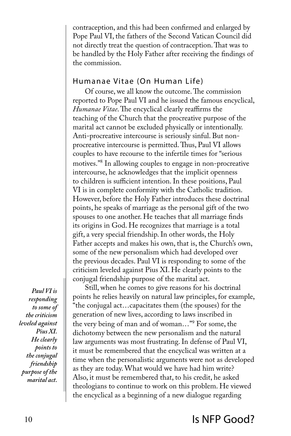contraception, and this had been confirmed and enlarged by Pope Paul VI, the fathers of the Second Vatican Council did not directly treat the question of contraception. That was to be handled by the Holy Father after receiving the findings of the commission.

#### Humanae Vitae (On Human Life)

Of course, we all know the outcome. The commission reported to Pope Paul VI and he issued the famous encyclical, *Humanae Vitae*. The encyclical clearly reaffirms the teaching of the Church that the procreative purpose of the marital act cannot be excluded physically or intentionally. Anti-procreative intercourse is seriously sinful. But nonprocreative intercourse is permitted. Thus, Paul VI allows couples to have recourse to the infertile times for "serious motives."<sup>8</sup> In allowing couples to engage in non-procreative intercourse, he acknowledges that the implicit openness to children is sufficient intention. In these positions, Paul VI is in complete conformity with the Catholic tradition. However, before the Holy Father introduces these doctrinal points, he speaks of marriage as the personal gift of the two spouses to one another. He teaches that all marriage finds its origins in God. He recognizes that marriage is a total gift, a very special friendship. In other words, the Holy Father accepts and makes his own, that is, the Church's own, some of the new personalism which had developed over the previous decades. Paul VI is responding to some of the criticism leveled against Pius XI. He clearly points to the conjugal friendship purpose of the marital act.

*Paul VI is responding to some of the criticism leveled against Pius XI. He clearly points to the conjugal friendship purpose of the marital act.*

Still, when he comes to give reasons for his doctrinal points he relies heavily on natural law principles, for example, "the conjugal act…capacitates them (the spouses) for the generation of new lives, according to laws inscribed in the very being of man and of woman…"<sup>9</sup> For some, the dichotomy between the new personalism and the natural law arguments was most frustrating. In defense of Paul VI, it must be remembered that the encyclical was written at a time when the personalistic arguments were not as developed as they are today. What would we have had him write? Also, it must be remembered that, to his credit, he asked theologians to continue to work on this problem. He viewed the encyclical as a beginning of a new dialogue regarding

### 10 Is NFP Good?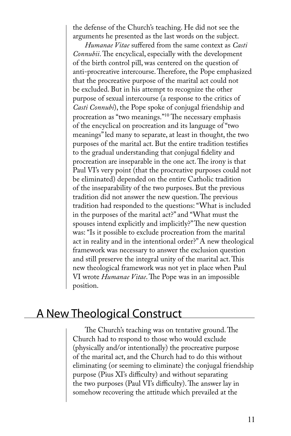the defense of the Church's teaching. He did not see the arguments he presented as the last words on the subject.

*Humanae Vitae* suffered from the same context as *Casti Connubii*. The encyclical, especially with the development of the birth control pill, was centered on the question of anti-procreative intercourse. Therefore, the Pope emphasized that the procreative purpose of the marital act could not be excluded. But in his attempt to recognize the other purpose of sexual intercourse (a response to the critics of *Casti Connubi*), the Pope spoke of conjugal friendship and procreation as "two meanings."<sup>10</sup> The necessary emphasis of the encyclical on procreation and its language of "two meanings" led many to separate, at least in thought, the two purposes of the marital act. But the entire tradition testifies to the gradual understanding that conjugal fidelity and procreation are inseparable in the one act. The irony is that Paul VI's very point (that the procreative purposes could not be eliminated) depended on the entire Catholic tradition of the inseparability of the two purposes. But the previous tradition did not answer the new question. The previous tradition had responded to the questions: "What is included in the purposes of the marital act?" and "What must the spouses intend explicitly and implicitly?" The new question was: "Is it possible to exclude procreation from the marital act in reality and in the intentional order?" A new theological framework was necessary to answer the exclusion question and still preserve the integral unity of the marital act. This new theological framework was not yet in place when Paul VI wrote *Humanae Vitae*. The Pope was in an impossible position.

## A New Theological Construct

The Church's teaching was on tentative ground. The Church had to respond to those who would exclude (physically and/or intentionally) the procreative purpose of the marital act, and the Church had to do this without eliminating (or seeming to eliminate) the conjugal friendship purpose (Pius XI's difficulty) and without separating the two purposes (Paul VI's difficulty). The answer lay in somehow recovering the attitude which prevailed at the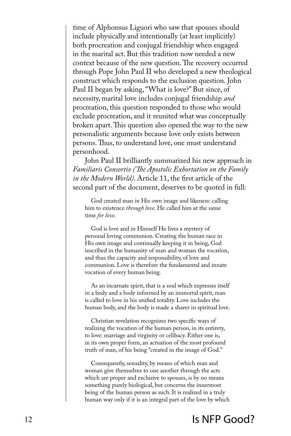time of Alphonsus Liguori who saw that spouses should include physically and intentionally (at least implicitly) both procreation and conjugal friendship when engaged in the marital act. But this tradition now needed a new context because of the new question. The recovery occurred through Pope John Paul II who developed a new theological construct which responds to the exclusion question. John Paul II began by asking, "What is love?" But since, of necessity, marital love includes conjugal friendship *and*  procreation, this question responded to those who would exclude procreation, and it reunited what was conceptually broken apart. This question also opened the way to the new personalistic arguments because love only exists between persons. Thus, to understand love, one must understand personhood.

John Paul II brilliantly summarized his new approach in *Familiaris Consortio (The Apostolic Exhortation on the Family in the Modern World)*. Article 11, the first article of the second part of the document, deserves to be quoted in full:

God created man in His own image and likeness: calling him to existence *through love*. He called him at the same time *for love*.

God is love and in Himself He lives a mystery of personal loving communion. Creating the human race in His own image and continually keeping it in being, God inscribed in the humanity of man and woman the vocation, and thus the capacity and responsibility, of love and communion. Love is therefore the fundamental and innate vocation of every human being.

As an incarnate spirit, that is a soul which expresses itself in a body and a body informed by an immortal spirit, man is called to love in his unified totality. Love includes the human body, and the body is made a sharer in spiritual love.

Christian revelation recognizes two specific ways of realizing the vocation of the human person, in its entirety, to love: marriage and virginity or celibacy. Either one is, in its own proper form, an actuation of the most profound truth of man, of his being "created in the image of God."

Consequently, sexuality, by means of which man and woman give themselves to one another through the acts which are proper and exclusive to spouses, is by no means something purely biological, but concerns the innermost being of the human person as such. It is realized in a truly human way only if it is an integral part of the love by which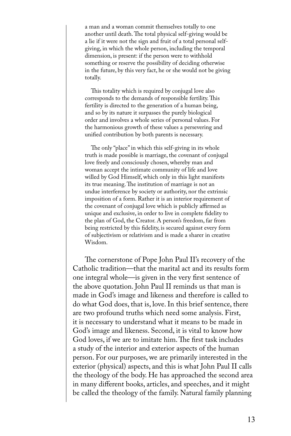a man and a woman commit themselves totally to one another until death. The total physical self-giving would be a lie if it were not the sign and fruit of a total personal selfgiving, in which the whole person, including the temporal dimension, is present: if the person were to withhold something or reserve the possibility of deciding otherwise in the future, by this very fact, he or she would not be giving totally.

This totality which is required by conjugal love also corresponds to the demands of responsible fertility. This fertility is directed to the generation of a human being, and so by its nature it surpasses the purely biological order and involves a whole series of personal values. For the harmonious growth of these values a persevering and unified contribution by both parents is necessary.

The only "place" in which this self-giving in its whole truth is made possible is marriage, the covenant of conjugal love freely and consciously chosen, whereby man and woman accept the intimate community of life and love willed by God Himself, which only in this light manifests its true meaning. The institution of marriage is not an undue interference by society or authority, nor the extrinsic imposition of a form. Rather it is an interior requirement of the covenant of conjugal love which is publicly affirmed as unique and exclusive, in order to live in complete fidelity to the plan of God, the Creator. A person's freedom, far from being restricted by this fidelity, is secured against every form of subjectivism or relativism and is made a sharer in creative Wisdom.

The cornerstone of Pope John Paul II's recovery of the Catholic tradition—that the marital act and its results form one integral whole—is given in the very first sentence of the above quotation. John Paul II reminds us that man is made in God's image and likeness and therefore is called to do what God does, that is, love. In this brief sentence, there are two profound truths which need some analysis. First, it is necessary to understand what it means to be made in God's image and likeness. Second, it is vital to know how God loves, if we are to imitate him. The first task includes a study of the interior and exterior aspects of the human person. For our purposes, we are primarily interested in the exterior (physical) aspects, and this is what John Paul II calls the theology of the body. He has approached the second area in many different books, articles, and speeches, and it might be called the theology of the family. Natural family planning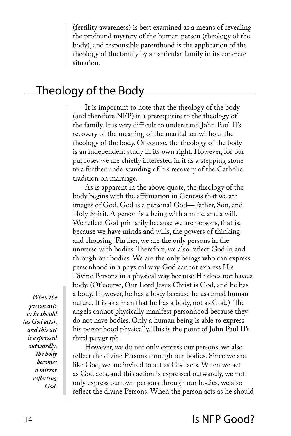(fertility awareness) is best examined as a means of revealing the profound mystery of the human person (theology of the body), and responsible parenthood is the application of the theology of the family by a particular family in its concrete situation.

## Theology of the Body

It is important to note that the theology of the body (and therefore NFP) is a prerequisite to the theology of the family. It is very difficult to understand John Paul II's recovery of the meaning of the marital act without the theology of the body. Of course, the theology of the body is an independent study in its own right. However, for our purposes we are chiefly interested in it as a stepping stone to a further understanding of his recovery of the Catholic tradition on marriage.

As is apparent in the above quote, the theology of the body begins with the affirmation in Genesis that we are images of God. God is a personal God—Father, Son, and Holy Spirit. A person is a being with a mind and a will. We reflect God primarily because we are persons, that is, because we have minds and wills, the powers of thinking and choosing. Further, we are the only persons in the universe with bodies. Therefore, we also reflect God in and through our bodies. We are the only beings who can express personhood in a physical way. God cannot express His Divine Persons in a physical way because He does not have a body. (Of course, Our Lord Jesus Christ is God, and he has a body. However, he has a body because he assumed human nature. It is as a man that he has a body, not as God.) The angels cannot physically manifest personhood because they do not have bodies. Only a human being is able to express his personhood physically. This is the point of John Paul II's third paragraph.

However, we do not only express our persons, we also reflect the divine Persons through our bodies. Since we are like God, we are invited to act as God acts. When we act as God acts, and this action is expressed outwardly, we not only express our own persons through our bodies, we also reflect the divine Persons. When the person acts as he should

*When the person acts as he should (as God acts), and this act is expressed outwardly, the body becomes a mirror reflecting God.*

## 14 **Is NFP Good?**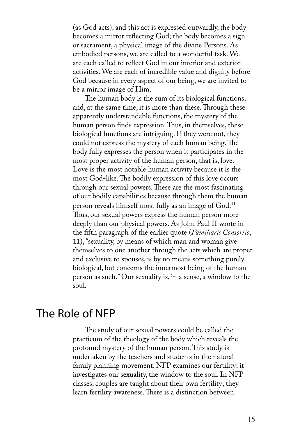(as God acts), and this act is expressed outwardly, the body becomes a mirror reflecting God; the body becomes a sign or sacrament, a physical image of the divine Persons. As embodied persons, we are called to a wonderful task. We are each called to reflect God in our interior and exterior activities. We are each of incredible value and dignity before God because in every aspect of our being, we are invited to be a mirror image of Him.

The human body is the sum of its biological functions, and, at the same time, it is more than these. Through these apparently understandable functions, the mystery of the human person finds expression. Thus, in themselves, these biological functions are intriguing. If they were not, they could not express the mystery of each human being. The body fully expresses the person when it participates in the most proper activity of the human person, that is, love. Love is the most notable human activity because it is the most God-like. The bodily expression of this love occurs through our sexual powers. These are the most fascinating of our bodily capabilities because through them the human person reveals himself most fully as an image of  $God.$ <sup>11</sup> Thus, our sexual powers express the human person more deeply than our physical powers. As John Paul II wrote in the fifth paragraph of the earlier quote (*Familiaris Consortio*, 11), "sexuality, by means of which man and woman give themselves to one another through the acts which are proper and exclusive to spouses, is by no means something purely biological, but concerns the innermost being of the human person as such." Our sexuality is, in a sense, a window to the soul.

## The Role of NFP

The study of our sexual powers could be called the practicum of the theology of the body which reveals the profound mystery of the human person. This study is undertaken by the teachers and students in the natural family planning movement. NFP examines our fertility; it investigates our sexuality, the window to the soul. In NFP classes, couples are taught about their own fertility; they learn fertility awareness. There is a distinction between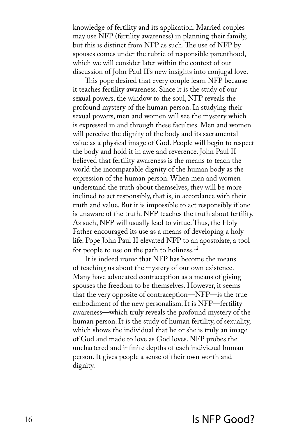knowledge of fertility and its application. Married couples may use NFP (fertility awareness) in planning their family, but this is distinct from NFP as such. The use of NFP by spouses comes under the rubric of responsible parenthood, which we will consider later within the context of our discussion of John Paul II's new insights into conjugal love.

This pope desired that every couple learn NFP because it teaches fertility awareness. Since it is the study of our sexual powers, the window to the soul, NFP reveals the profound mystery of the human person. In studying their sexual powers, men and women will see the mystery which is expressed in and through these faculties. Men and women will perceive the dignity of the body and its sacramental value as a physical image of God. People will begin to respect the body and hold it in awe and reverence. John Paul II believed that fertility awareness is the means to teach the world the incomparable dignity of the human body as the expression of the human person. When men and women understand the truth about themselves, they will be more inclined to act responsibly, that is, in accordance with their truth and value. But it is impossible to act responsibly if one is unaware of the truth. NFP teaches the truth about fertility. As such, NFP will usually lead to virtue. Thus, the Holy Father encouraged its use as a means of developing a holy life. Pope John Paul II elevated NFP to an apostolate, a tool for people to use on the path to holiness.<sup>12</sup>

It is indeed ironic that NFP has become the means of teaching us about the mystery of our own existence. Many have advocated contraception as a means of giving spouses the freedom to be themselves. However, it seems that the very opposite of contraception—NFP—is the true embodiment of the new personalism. It is NFP—fertility awareness—which truly reveals the profound mystery of the human person. It is the study of human fertility, of sexuality, which shows the individual that he or she is truly an image of God and made to love as God loves. NFP probes the unchartered and infinite depths of each individual human person. It gives people a sense of their own worth and dignity.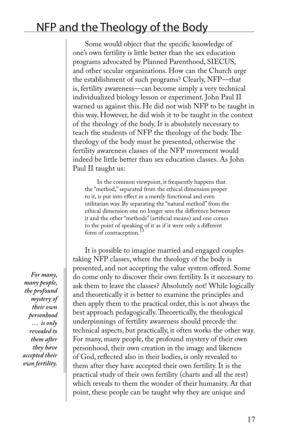# NFP and the Theology of the Body

Some would object that the specific knowledge of one's own fertility is little better than the sex education programs advocated by Planned Parenthood, SIECUS, and other secular organizations. How can the Church urge the establishment of such programs? Clearly, NFP—that is, fertility awareness—can become simply a very technical individualized biology lesson or experiment. John Paul II warned us against this. He did not wish NFP to be taught in this way. However, he did wish it to be taught in the context of the theology of the body. It is absolutely necessary to teach the students of NFP the theology of the body. The theology of the body must be presented, otherwise the fertility awareness classes of the NFP movement would indeed be little better than sex education classes. As John Paul II taught us:

In the common viewpoint, it frequently happens that the "method," separated from the ethical dimension proper to it, is put into effect in a merely functional and even utilitarian way. By separating the "natural method" from the ethical dimension one no longer sees the difference between it and the other "methods" (artificial means) and one comes to the point of speaking of it as if it were only a different form of contraception.<sup>13</sup>

It is possible to imagine married and engaged couples taking NFP classes, where the theology of the body is presented, and not accepting the value system offered. Some do come only to discover their own fertility. Is it necessary to ask them to leave the classes? Absolutely not! While logically and theoretically it is better to examine the principles and then apply them to the practical order, this is not always the best approach pedagogically. Theoretically, the theological underpinnings of fertility awareness should precede the technical aspects, but practically, it often works the other way. For many, many people, the profound mystery of their own personhood, their own creation in the image and likeness of God, reflected also in their bodies, is only revealed to them after they have accepted their own fertility. It is the practical study of their own fertility (charts and all the rest) which reveals to them the wonder of their humanity. At that point, these people can be taught why they are unique and

*For many, many people, the profound mystery of their own personhood … is only revealed to them after they have accepted their own fertility.*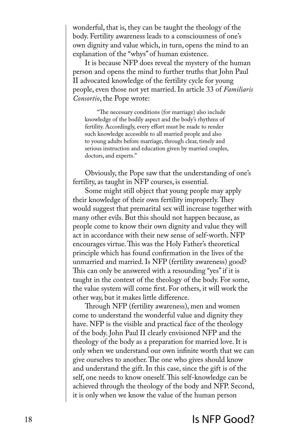wonderful, that is, they can be taught the theology of the body. Fertility awareness leads to a consciousness of one's own dignity and value which, in turn, opens the mind to an explanation of the "whys" of human existence.

It is because NFP does reveal the mystery of the human person and opens the mind to further truths that John Paul II advocated knowledge of the fertility cycle for young people, even those not yet married. In article 33 of *Familiaris Consortio*, the Pope wrote:

"The necessary conditions (for marriage) also include knowledge of the bodily aspect and the body's rhythms of fertility. Accordingly, every effort must be made to render such knowledge accessible to all married people and also to young adults before marriage, through clear, timely and serious instruction and education given by married couples, doctors, and experts."

Obviously, the Pope saw that the understanding of one's fertility, as taught in NFP courses, is essential.

Some might still object that young people may apply their knowledge of their own fertility improperly. They would suggest that premarital sex will increase together with many other evils. But this should not happen because, as people come to know their own dignity and value they will act in accordance with their new sense of self-worth. NFP encourages virtue. This was the Holy Father's theoretical principle which has found confirmation in the lives of the unmarried and married. Is NFP (fertility awareness) good? This can only be answered with a resounding "yes" if it is taught in the context of the theology of the body. For some, the value system will come first. For others, it will work the other way, but it makes little difference.

Through NFP (fertility awareness), men and women come to understand the wonderful value and dignity they have. NFP is the visible and practical face of the theology of the body. John Paul II clearly envisioned NFP and the theology of the body as a preparation for married love. It is only when we understand our own infinite worth that we can give ourselves to another. The one who gives should know and understand the gift. In this case, since the gift is of the self, one needs to know oneself. This self-knowledge can be achieved through the theology of the body and NFP. Second, it is only when we know the value of the human person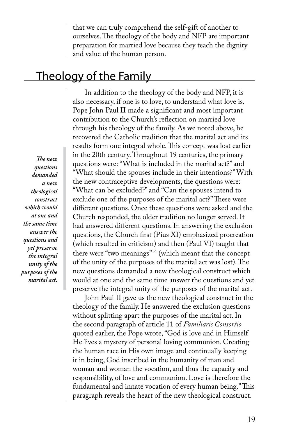that we can truly comprehend the self-gift of another to ourselves. The theology of the body and NFP are important preparation for married love because they teach the dignity and value of the human person.

## Theology of the Family

*The new questions demanded a new theological construct which would at one and the same time answer the questions and yet preserve the integral unity of the purposes of the marital act.* 

In addition to the theology of the body and NFP, it is also necessary, if one is to love, to understand what love is. Pope John Paul II made a significant and most important contribution to the Church's reflection on married love through his theology of the family. As we noted above, he recovered the Catholic tradition that the marital act and its results form one integral whole. This concept was lost earlier in the 20th century. Throughout 19 centuries, the primary questions were: "What is included in the marital act?" and "What should the spouses include in their intentions?" With the new contraceptive developments, the questions were: "What can be excluded?" and "Can the spouses intend to exclude one of the purposes of the marital act?" These were different questions. Once these questions were asked and the Church responded, the older tradition no longer served. It had answered different questions. In answering the exclusion questions, the Church first (Pius XI) emphasized procreation (which resulted in criticism) and then (Paul VI) taught that there were "two meanings"<sup>14</sup> (which meant that the concept of the unity of the purposes of the marital act was lost). The new questions demanded a new theological construct which would at one and the same time answer the questions and yet preserve the integral unity of the purposes of the marital act.

John Paul II gave us the new theological construct in the theology of the family. He answered the exclusion questions without splitting apart the purposes of the marital act. In the second paragraph of article 11 of *Familiaris Consortio* quoted earlier, the Pope wrote, "God is love and in Himself He lives a mystery of personal loving communion. Creating the human race in His own image and continually keeping it in being, God inscribed in the humanity of man and woman and woman the vocation, and thus the capacity and responsibility, of love and communion. Love is therefore the fundamental and innate vocation of every human being." This paragraph reveals the heart of the new theological construct.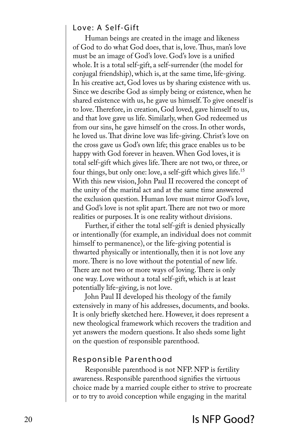#### Love: A Self-Gift

Human beings are created in the image and likeness of God to do what God does, that is, love. Thus, man's love must be an image of God's love. God's love is a unified whole. It is a total self-gift, a self-surrender (the model for conjugal friendship), which is, at the same time, life-giving. In his creative act, God loves us by sharing existence with us. Since we describe God as simply being or existence, when he shared existence with us, he gave us himself. To give oneself is to love. Therefore, in creation, God loved, gave himself to us, and that love gave us life. Similarly, when God redeemed us from our sins, he gave himself on the cross. In other words, he loved us. That divine love was life-giving. Christ's love on the cross gave us God's own life; this grace enables us to be happy with God forever in heaven. When God loves, it is total self-gift which gives life. There are not two, or three, or four things, but only one: love, a self-gift which gives life.<sup>15</sup> With this new vision, John Paul II recovered the concept of the unity of the marital act and at the same time answered the exclusion question. Human love must mirror God's love, and God's love is not split apart. There are not two or more realities or purposes. It is one reality without divisions.

Further, if either the total self-gift is denied physically or intentionally (for example, an individual does not commit himself to permanence), or the life-giving potential is thwarted physically or intentionally, then it is not love any more. There is no love without the potential of new life. There are not two or more ways of loving. There is only one way. Love without a total self-gift, which is at least potentially life-giving, is not love.

John Paul II developed his theology of the family extensively in many of his addresses, documents, and books. It is only briefly sketched here. However, it does represent a new theological framework which recovers the tradition and yet answers the modern questions. It also sheds some light on the question of responsible parenthood.

#### Responsible Parenthood

Responsible parenthood is not NFP. NFP is fertility awareness. Responsible parenthood signifies the virtuous choice made by a married couple either to strive to procreate or to try to avoid conception while engaging in the marital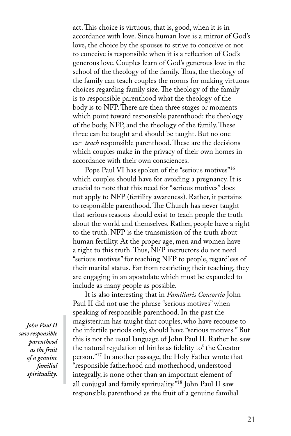act. This choice is virtuous, that is, good, when it is in accordance with love. Since human love is a mirror of God's love, the choice by the spouses to strive to conceive or not to conceive is responsible when it is a reflection of God's generous love. Couples learn of God's generous love in the school of the theology of the family. Thus, the theology of the family can teach couples the norms for making virtuous choices regarding family size. The theology of the family is to responsible parenthood what the theology of the body is to NFP. There are then three stages or moments which point toward responsible parenthood: the theology of the body, NFP, and the theology of the family. These three can be taught and should be taught. But no one can *teach* responsible parenthood. These are the decisions which couples make in the privacy of their own homes in accordance with their own consciences.

Pope Paul VI has spoken of the "serious motives"<sup>16</sup> which couples should have for avoiding a pregnancy. It is crucial to note that this need for "serious motives" does not apply to NFP (fertility awareness). Rather, it pertains to responsible parenthood. The Church has never taught that serious reasons should exist to teach people the truth about the world and themselves. Rather, people have a right to the truth. NFP is the transmission of the truth about human fertility. At the proper age, men and women have a right to this truth. Thus, NFP instructors do not need "serious motives" for teaching NFP to people, regardless of their marital status. Far from restricting their teaching, they are engaging in an apostolate which must be expanded to include as many people as possible.

It is also interesting that in *Familiaris Consortio* John Paul II did not use the phrase "serious motives" when speaking of responsible parenthood. In the past the magisterium has taught that couples, who have recourse to the infertile periods only, should have "serious motives." But this is not the usual language of John Paul II. Rather he saw the natural regulation of births as fidelity to" the Creatorperson."<sup>17</sup> In another passage, the Holy Father wrote that "responsible fatherhood and motherhood, understood integrally, is none other than an important element of all conjugal and family spirituality."<sup>18</sup> John Paul II saw responsible parenthood as the fruit of a genuine familial

*John Paul II saw responsible parenthood as the fruit of a genuine familial spirituality.*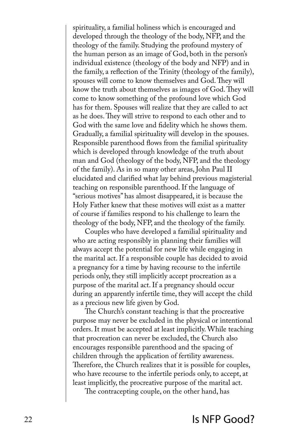spirituality, a familial holiness which is encouraged and developed through the theology of the body, NFP, and the theology of the family. Studying the profound mystery of the human person as an image of God, both in the person's individual existence (theology of the body and NFP) and in the family, a reflection of the Trinity (theology of the family), spouses will come to know themselves and God. They will know the truth about themselves as images of God. They will come to know something of the profound love which God has for them. Spouses will realize that they are called to act as he does. They will strive to respond to each other and to God with the same love and fidelity which he shows them. Gradually, a familial spirituality will develop in the spouses. Responsible parenthood flows from the familial spirituality which is developed through knowledge of the truth about man and God (theology of the body, NFP, and the theology of the family). As in so many other areas, John Paul II elucidated and clarified what lay behind previous magisterial teaching on responsible parenthood. If the language of "serious motives" has almost disappeared, it is because the Holy Father knew that these motives will exist as a matter of course if families respond to his challenge to learn the theology of the body, NFP, and the theology of the family.

Couples who have developed a familial spirituality and who are acting responsibly in planning their families will always accept the potential for new life while engaging in the marital act. If a responsible couple has decided to avoid a pregnancy for a time by having recourse to the infertile periods only, they still implicitly accept procreation as a purpose of the marital act. If a pregnancy should occur during an apparently infertile time, they will accept the child as a precious new life given by God.

The Church's constant teaching is that the procreative purpose may never be excluded in the physical or intentional orders. It must be accepted at least implicitly. While teaching that procreation can never be excluded, the Church also encourages responsible parenthood and the spacing of children through the application of fertility awareness. Therefore, the Church realizes that it is possible for couples, who have recourse to the infertile periods only, to accept, at least implicitly, the procreative purpose of the marital act.

The contracepting couple, on the other hand, has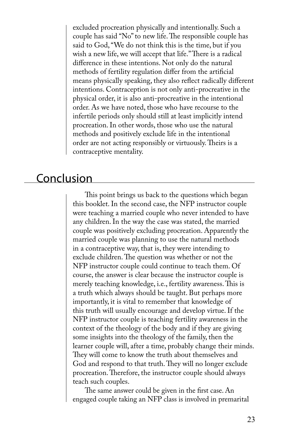excluded procreation physically and intentionally. Such a couple has said "No" to new life. The responsible couple has said to God, "We do not think this is the time, but if you wish a new life, we will accept that life." There is a radical difference in these intentions. Not only do the natural methods of fertility regulation differ from the artificial means physically speaking, they also reflect radically different intentions. Contraception is not only anti-procreative in the physical order, it is also anti-procreative in the intentional order. As we have noted, those who have recourse to the infertile periods only should still at least implicitly intend procreation. In other words, those who use the natural methods and positively exclude life in the intentional order are not acting responsibly or virtuously. Theirs is a contraceptive mentality.

## Conclusion

This point brings us back to the questions which began this booklet. In the second case, the NFP instructor couple were teaching a married couple who never intended to have any children. In the way the case was stated, the married couple was positively excluding procreation. Apparently the married couple was planning to use the natural methods in a contraceptive way, that is, they were intending to exclude children. The question was whether or not the NFP instructor couple could continue to teach them. Of course, the answer is clear because the instructor couple is merely teaching knowledge, i.e., fertility awareness. This is a truth which always should be taught. But perhaps more importantly, it is vital to remember that knowledge of this truth will usually encourage and develop virtue. If the NFP instructor couple is teaching fertility awareness in the context of the theology of the body and if they are giving some insights into the theology of the family, then the learner couple will, after a time, probably change their minds. They will come to know the truth about themselves and God and respond to that truth. They will no longer exclude procreation. Therefore, the instructor couple should always teach such couples.

The same answer could be given in the first case. An engaged couple taking an NFP class is involved in premarital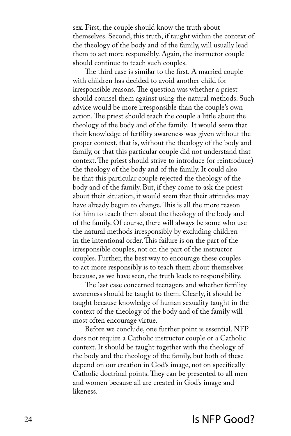sex. First, the couple should know the truth about themselves. Second, this truth, if taught within the context of the theology of the body and of the family, will usually lead them to act more responsibly. Again, the instructor couple should continue to teach such couples.

The third case is similar to the first. A married couple with children has decided to avoid another child for irresponsible reasons. The question was whether a priest should counsel them against using the natural methods. Such advice would be more irresponsible than the couple's own action. The priest should teach the couple a little about the theology of the body and of the family. It would seem that their knowledge of fertility awareness was given without the proper context, that is, without the theology of the body and family, or that this particular couple did not understand that context. The priest should strive to introduce (or reintroduce) the theology of the body and of the family. It could also be that this particular couple rejected the theology of the body and of the family. But, if they come to ask the priest about their situation, it would seem that their attitudes may have already begun to change. This is all the more reason for him to teach them about the theology of the body and of the family. Of course, there will always be some who use the natural methods irresponsibly by excluding children in the intentional order. This failure is on the part of the irresponsible couples, not on the part of the instructor couples. Further, the best way to encourage these couples to act more responsibly is to teach them about themselves because, as we have seen, the truth leads to responsibility.

The last case concerned teenagers and whether fertility awareness should be taught to them. Clearly, it should be taught because knowledge of human sexuality taught in the context of the theology of the body and of the family will most often encourage virtue.

Before we conclude, one further point is essential. NFP does not require a Catholic instructor couple or a Catholic context. It should be taught together with the theology of the body and the theology of the family, but both of these depend on our creation in God's image, not on specifically Catholic doctrinal points. They can be presented to all men and women because all are created in God's image and likeness.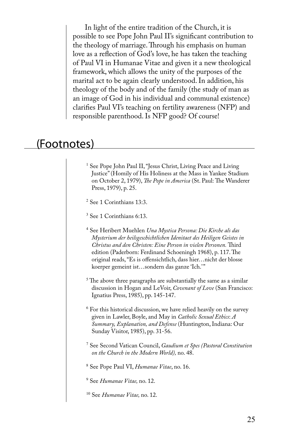In light of the entire tradition of the Church, it is possible to see Pope John Paul II's significant contribution to the theology of marriage. Through his emphasis on human love as a reflection of God's love, he has taken the teaching of Paul VI in Humanae Vitae and given it a new theological framework, which allows the unity of the purposes of the marital act to be again clearly understood. In addition, his theology of the body and of the family (the study of man as an image of God in his individual and communal existence) clarifies Paul VI's teaching on fertility awareness (NFP) and responsible parenthood. Is NFP good? Of course!

## (Footnotes)

1 See Pope John Paul II, "Jesus Christ, Living Peace and Living Justice" (Homily of His Holiness at the Mass in Yankee Stadium on October 2, 1979), *The Pope in America* (St. Paul: The Wanderer Press, 1979), p. 25.

2 See 1 Corinthians 13:3.

3 See 1 Corinthians 6:13.

4 See Heribert Muehlen *Una Mystica Persona: Die Kirche als das Mysterium der heilsgeschichtlichen Idenitaet des Heiligen Geistes in Christus and den Christen: Eine Person in vielen Personen.* Third edition (Paderborn: Ferdinand Schoeningh 1968), p. 117. The original reads, "Es is offensichtlich, dass hier…nicht der blosse koerper gemeint ist...sondern das ganze 'Ich.'"

 $^5$  The above three paragraphs are substantially the same as a similar discussion in Hogan and LeVoir, *Covenant of Love* (San Francisco: Ignatius Press, 1985), pp. 145-147.

6 For this historical discussion, we have relied heavily on the survey given in Lawler, Boyle, and May in *Catholic Sexual Ethics*: *A Summary, Explanation, and Defense* (Huntington, Indiana: Our Sunday Visitor, 1985), pp. 31-56.

7 See Second Vatican Council, *Gaudium et Spes (Pastoral Constitution on the Church in the Modern World),* no. 48.

8 See Pope Paul VI, *Humanae Vitae*, no. 16.

9 See *Humanae Vitae,* no. 12.

<sup>10</sup> See *Humanae Vitae,* no. 12.